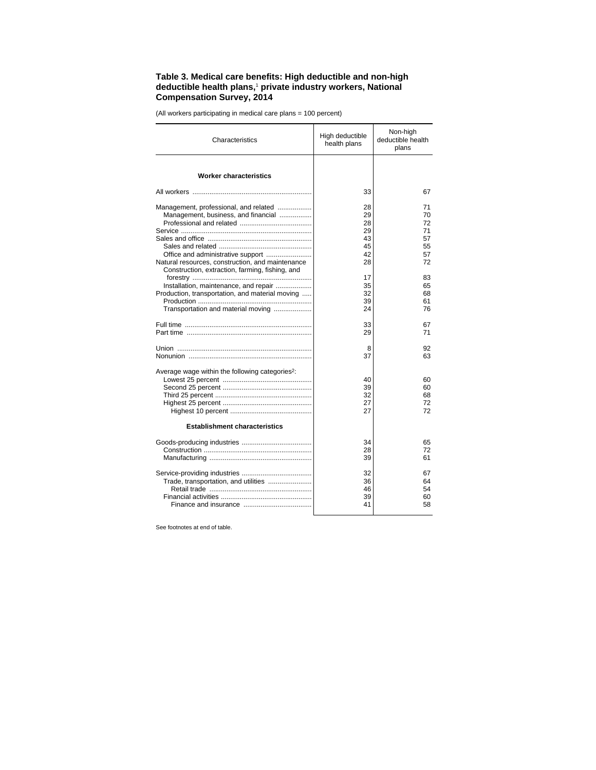## **Table 3. Medical care benefits: High deductible and non-high deductible health plans,**<sup>1</sup>  **private industry workers, National Compensation Survey, 2014**

(All workers participating in medical care plans = 100 percent)

| Characteristics                                                                                                                                                                                                                                                                 | High deductible<br>health plans                                      | Non-high<br>deductible health<br>plans                               |
|---------------------------------------------------------------------------------------------------------------------------------------------------------------------------------------------------------------------------------------------------------------------------------|----------------------------------------------------------------------|----------------------------------------------------------------------|
| <b>Worker characteristics</b>                                                                                                                                                                                                                                                   |                                                                      |                                                                      |
|                                                                                                                                                                                                                                                                                 | 33                                                                   | 67                                                                   |
| Management, professional, and related<br>Management, business, and financial<br>Natural resources, construction, and maintenance<br>Construction, extraction, farming, fishing, and<br>Installation, maintenance, and repair<br>Production, transportation, and material moving | 28<br>29<br>28<br>29<br>43<br>45<br>42<br>28<br>17<br>35<br>32<br>39 | 71<br>70<br>72<br>71<br>57<br>55<br>57<br>72<br>83<br>65<br>68<br>61 |
| Transportation and material moving                                                                                                                                                                                                                                              | 24                                                                   | 76                                                                   |
|                                                                                                                                                                                                                                                                                 | 33<br>29                                                             | 67<br>71                                                             |
|                                                                                                                                                                                                                                                                                 | 8<br>37                                                              | 92<br>63                                                             |
| Average wage within the following categories <sup>2</sup> :<br><b>Establishment characteristics</b>                                                                                                                                                                             | 40<br>39<br>32<br>27<br>27                                           | 60<br>60<br>68<br>72<br>72                                           |
|                                                                                                                                                                                                                                                                                 |                                                                      |                                                                      |
|                                                                                                                                                                                                                                                                                 | 34<br>28<br>39                                                       | 65<br>72<br>61                                                       |
| Trade, transportation, and utilities                                                                                                                                                                                                                                            | 32<br>36<br>46<br>39<br>41                                           | 67<br>64<br>54<br>60<br>58                                           |

See footnotes at end of table.